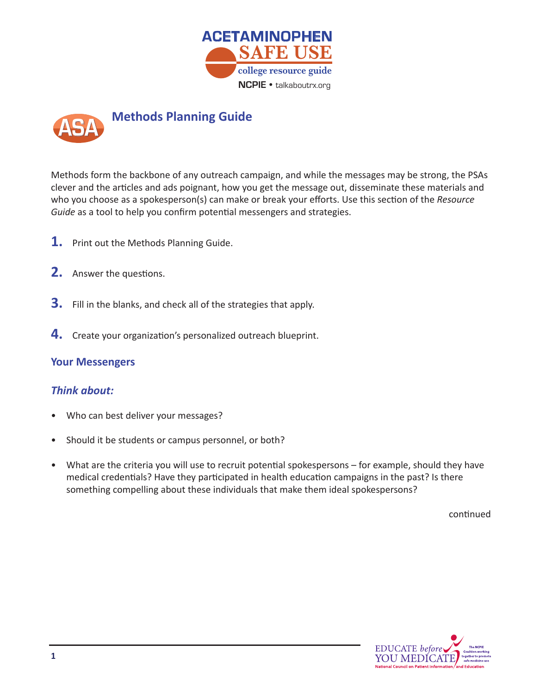



who you choose as a spokesperson(s) can make or break your efforts. Use this section of the *Resource* Guide as a tool to help you confirm potential messengers and strategies. Methods form the backbone of any outreach campaign, and while the messages may be strong, the PSAs clever and the articles and ads poignant, how you get the message out, disseminate these materials and

- **1.** Print out the Methods Planning Guide.
- **2.** Answer the questions.
- **3.** Fill in the blanks, and check all of the strategies that apply.
- **4.** Create your organization's personalized outreach blueprint.

## **Your Messengers**

## *Think about:*

- Who can best deliver your messages?
- Should it be students or campus personnel, or both?
- What are the criteria you will use to recruit potential spokespersons for example, should they have medical credentials? Have they participated in health education campaigns in the past? Is there something compelling about these individuals that make them ideal spokespersons?

continued